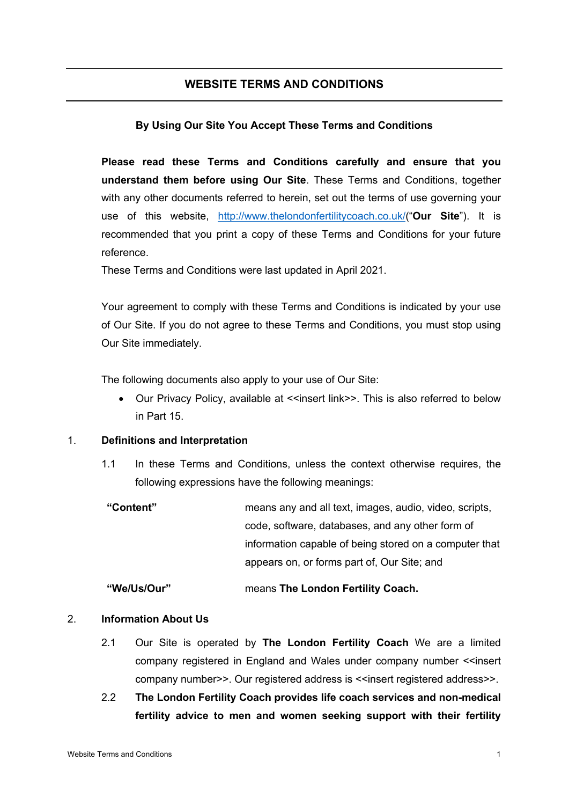# **WEBSITE TERMS AND CONDITIONS**

## **By Using Our Site You Accept These Terms and Conditions**

**Please read these Terms and Conditions carefully and ensure that you understand them before using Our Site**. These Terms and Conditions, together with any other documents referred to herein, set out the terms of use governing your use of this website, http://www.thelondonfertilitycoach.co.uk/("**Our Site**"). It is recommended that you print a copy of these Terms and Conditions for your future reference.

These Terms and Conditions were last updated in April 2021.

Your agreement to comply with these Terms and Conditions is indicated by your use of Our Site. If you do not agree to these Terms and Conditions, you must stop using Our Site immediately.

The following documents also apply to your use of Our Site:

Our Privacy Policy, available at <<insert link>>. This is also referred to below in Part 15.

### 1. **Definitions and Interpretation**

- 1.1 In these Terms and Conditions, unless the context otherwise requires, the following expressions have the following meanings:
- **"Content"** means any and all text, images, audio, video, scripts, code, software, databases, and any other form of information capable of being stored on a computer that appears on, or forms part of, Our Site; and

### **"We/Us/Our"** means **The London Fertility Coach.**

## 2. **Information About Us**

- 2.1 Our Site is operated by **The London Fertility Coach** We are a limited company registered in England and Wales under company number <<insert company number>>. Our registered address is <<insert registered address>>.
- 2.2 **The London Fertility Coach provides life coach services and non-medical fertility advice to men and women seeking support with their fertility**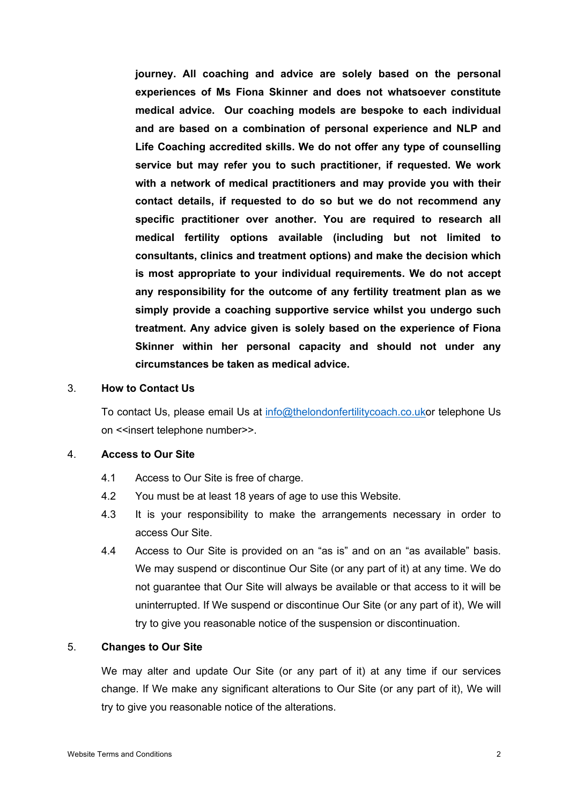**journey. All coaching and advice are solely based on the personal experiences of Ms Fiona Skinner and does not whatsoever constitute medical advice. Our coaching models are bespoke to each individual and are based on a combination of personal experience and NLP and Life Coaching accredited skills. We do not offer any type of counselling service but may refer you to such practitioner, if requested. We work with a network of medical practitioners and may provide you with their contact details, if requested to do so but we do not recommend any specific practitioner over another. You are required to research all medical fertility options available (including but not limited to consultants, clinics and treatment options) and make the decision which is most appropriate to your individual requirements. We do not accept any responsibility for the outcome of any fertility treatment plan as we simply provide a coaching supportive service whilst you undergo such treatment. Any advice given is solely based on the experience of Fiona Skinner within her personal capacity and should not under any circumstances be taken as medical advice.**

#### 3. **How to Contact Us**

To contact Us, please email Us at info@thelondonfertilitycoach.co.ukor telephone Us on <<insert telephone number>>.

#### 4. **Access to Our Site**

- 4.1 Access to Our Site is free of charge.
- 4.2 You must be at least 18 years of age to use this Website.
- 4.3 It is your responsibility to make the arrangements necessary in order to access Our Site.
- 4.4 Access to Our Site is provided on an "as is" and on an "as available" basis. We may suspend or discontinue Our Site (or any part of it) at any time. We do not guarantee that Our Site will always be available or that access to it will be uninterrupted. If We suspend or discontinue Our Site (or any part of it), We will try to give you reasonable notice of the suspension or discontinuation.

### 5. **Changes to Our Site**

We may alter and update Our Site (or any part of it) at any time if our services change. If We make any significant alterations to Our Site (or any part of it), We will try to give you reasonable notice of the alterations.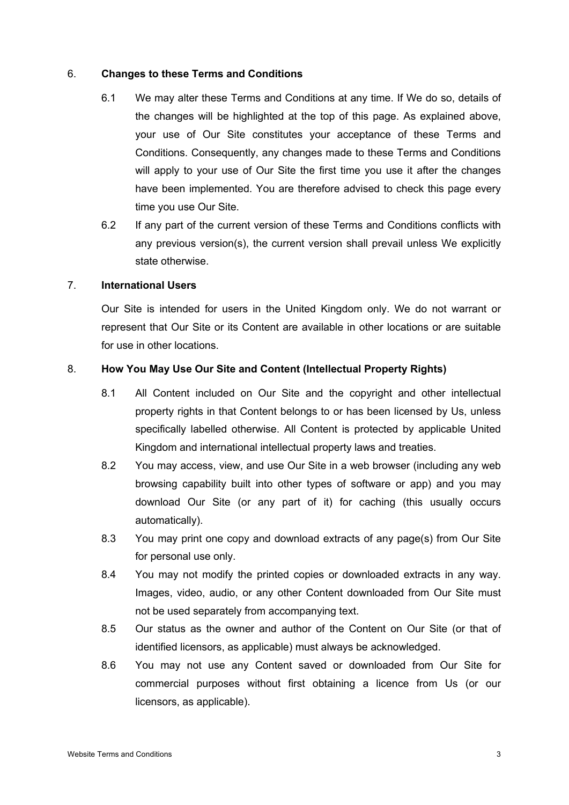## 6. **Changes to these Terms and Conditions**

- 6.1 We may alter these Terms and Conditions at any time. If We do so, details of the changes will be highlighted at the top of this page. As explained above, your use of Our Site constitutes your acceptance of these Terms and Conditions. Consequently, any changes made to these Terms and Conditions will apply to your use of Our Site the first time you use it after the changes have been implemented. You are therefore advised to check this page every time you use Our Site.
- 6.2 If any part of the current version of these Terms and Conditions conflicts with any previous version(s), the current version shall prevail unless We explicitly state otherwise.

### 7. **International Users**

Our Site is intended for users in the United Kingdom only. We do not warrant or represent that Our Site or its Content are available in other locations or are suitable for use in other locations.

## 8. **How You May Use Our Site and Content (Intellectual Property Rights)**

- 8.1 All Content included on Our Site and the copyright and other intellectual property rights in that Content belongs to or has been licensed by Us, unless specifically labelled otherwise. All Content is protected by applicable United Kingdom and international intellectual property laws and treaties.
- 8.2 You may access, view, and use Our Site in a web browser (including any web browsing capability built into other types of software or app) and you may download Our Site (or any part of it) for caching (this usually occurs automatically).
- 8.3 You may print one copy and download extracts of any page(s) from Our Site for personal use only.
- 8.4 You may not modify the printed copies or downloaded extracts in any way. Images, video, audio, or any other Content downloaded from Our Site must not be used separately from accompanying text.
- 8.5 Our status as the owner and author of the Content on Our Site (or that of identified licensors, as applicable) must always be acknowledged.
- 8.6 You may not use any Content saved or downloaded from Our Site for commercial purposes without first obtaining a licence from Us (or our licensors, as applicable).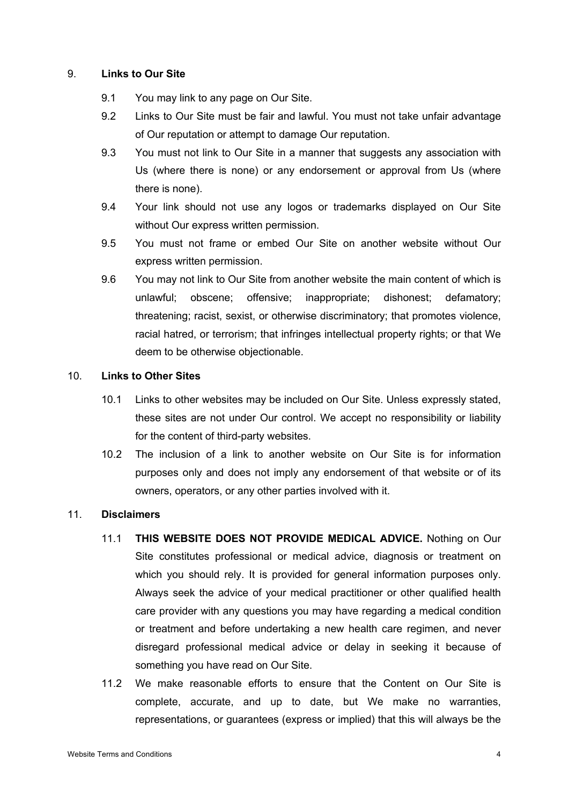## 9. **Links to Our Site**

- 9.1 You may link to any page on Our Site.
- 9.2 Links to Our Site must be fair and lawful. You must not take unfair advantage of Our reputation or attempt to damage Our reputation.
- 9.3 You must not link to Our Site in a manner that suggests any association with Us (where there is none) or any endorsement or approval from Us (where there is none).
- 9.4 Your link should not use any logos or trademarks displayed on Our Site without Our express written permission.
- 9.5 You must not frame or embed Our Site on another website without Our express written permission.
- 9.6 You may not link to Our Site from another website the main content of which is unlawful; obscene; offensive; inappropriate; dishonest; defamatory; threatening; racist, sexist, or otherwise discriminatory; that promotes violence, racial hatred, or terrorism; that infringes intellectual property rights; or that We deem to be otherwise objectionable.

## 10. **Links to Other Sites**

- 10.1 Links to other websites may be included on Our Site. Unless expressly stated, these sites are not under Our control. We accept no responsibility or liability for the content of third-party websites.
- 10.2 The inclusion of a link to another website on Our Site is for information purposes only and does not imply any endorsement of that website or of its owners, operators, or any other parties involved with it.

### 11. **Disclaimers**

- 11.1 **THIS WEBSITE DOES NOT PROVIDE MEDICAL ADVICE.** Nothing on Our Site constitutes professional or medical advice, diagnosis or treatment on which you should rely. It is provided for general information purposes only. Always seek the advice of your medical practitioner or other qualified health care provider with any questions you may have regarding a medical condition or treatment and before undertaking a new health care regimen, and never disregard professional medical advice or delay in seeking it because of something you have read on Our Site.
- 11.2 We make reasonable efforts to ensure that the Content on Our Site is complete, accurate, and up to date, but We make no warranties, representations, or guarantees (express or implied) that this will always be the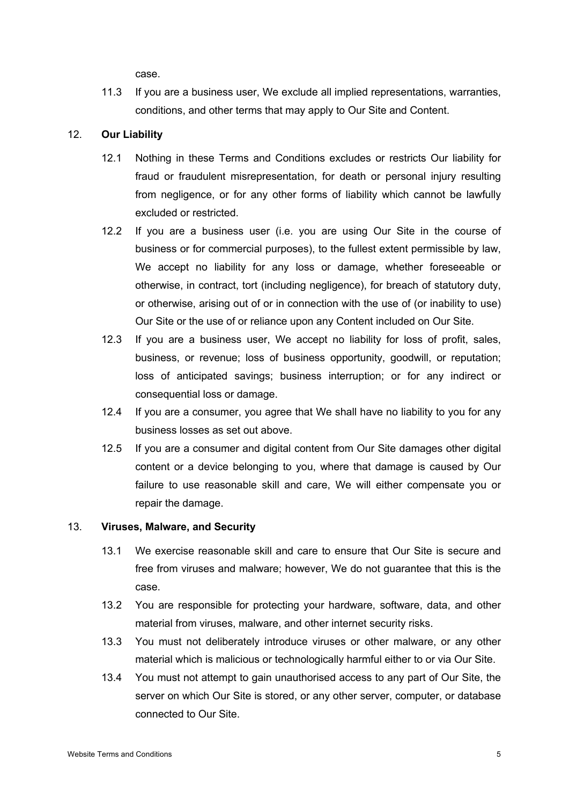case.

11.3 If you are a business user, We exclude all implied representations, warranties, conditions, and other terms that may apply to Our Site and Content.

## 12. **Our Liability**

- 12.1 Nothing in these Terms and Conditions excludes or restricts Our liability for fraud or fraudulent misrepresentation, for death or personal injury resulting from negligence, or for any other forms of liability which cannot be lawfully excluded or restricted.
- 12.2 If you are a business user (i.e. you are using Our Site in the course of business or for commercial purposes), to the fullest extent permissible by law, We accept no liability for any loss or damage, whether foreseeable or otherwise, in contract, tort (including negligence), for breach of statutory duty, or otherwise, arising out of or in connection with the use of (or inability to use) Our Site or the use of or reliance upon any Content included on Our Site.
- 12.3 If you are a business user, We accept no liability for loss of profit, sales, business, or revenue; loss of business opportunity, goodwill, or reputation; loss of anticipated savings; business interruption; or for any indirect or consequential loss or damage.
- 12.4 If you are a consumer, you agree that We shall have no liability to you for any business losses as set out above.
- 12.5 If you are a consumer and digital content from Our Site damages other digital content or a device belonging to you, where that damage is caused by Our failure to use reasonable skill and care, We will either compensate you or repair the damage.

## 13. **Viruses, Malware, and Security**

- 13.1 We exercise reasonable skill and care to ensure that Our Site is secure and free from viruses and malware; however, We do not guarantee that this is the case.
- 13.2 You are responsible for protecting your hardware, software, data, and other material from viruses, malware, and other internet security risks.
- 13.3 You must not deliberately introduce viruses or other malware, or any other material which is malicious or technologically harmful either to or via Our Site.
- 13.4 You must not attempt to gain unauthorised access to any part of Our Site, the server on which Our Site is stored, or any other server, computer, or database connected to Our Site.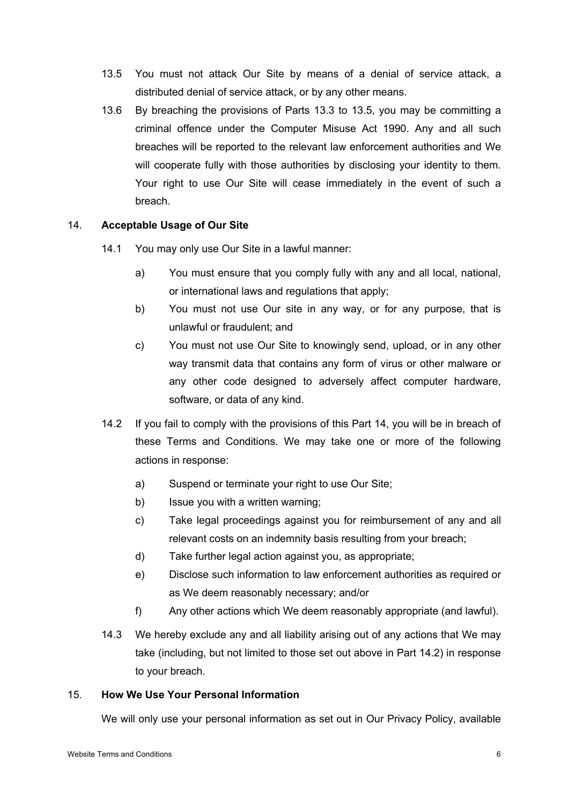- 13.5 You must not attack Our Site by means of a denial of service attack, a distributed denial of service attack, or by any other means.
- 13.6 By breaching the provisions of Parts 13.3 to 13.5, you may be committing a criminal offence under the Computer Misuse Act 1990. Any and all such breaches will be reported to the relevant law enforcement authorities and We will cooperate fully with those authorities by disclosing your identity to them. Your right to use Our Site will cease immediately in the event of such a breach.

## 14. **Acceptable Usage of Our Site**

- 14.1 You may only use Our Site in a lawful manner:
	- a) You must ensure that you comply fully with any and all local, national, or international laws and regulations that apply;
	- b) You must not use Our site in any way, or for any purpose, that is unlawful or fraudulent; and
	- c) You must not use Our Site to knowingly send, upload, or in any other way transmit data that contains any form of virus or other malware or any other code designed to adversely affect computer hardware, software, or data of any kind.
- 14.2 If you fail to comply with the provisions of this Part 14, you will be in breach of these Terms and Conditions. We may take one or more of the following actions in response:
	- a) Suspend or terminate your right to use Our Site;
	- b) Issue you with a written warning;
	- c) Take legal proceedings against you for reimbursement of any and all relevant costs on an indemnity basis resulting from your breach;
	- d) Take further legal action against you, as appropriate;
	- e) Disclose such information to law enforcement authorities as required or as We deem reasonably necessary; and/or
	- f) Any other actions which We deem reasonably appropriate (and lawful).
- 14.3 We hereby exclude any and all liability arising out of any actions that We may take (including, but not limited to those set out above in Part 14.2) in response to your breach.

## 15. **How We Use Your Personal Information**

We will only use your personal information as set out in Our Privacy Policy, available